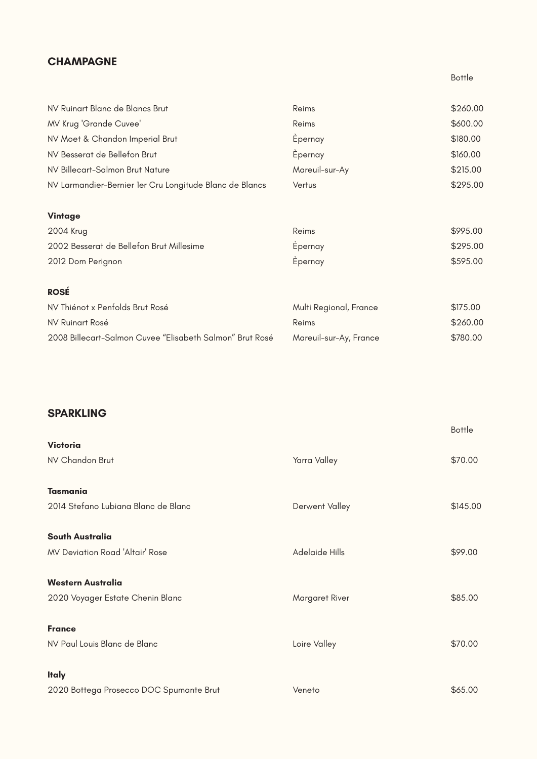Margaret River

Loire Valley

Veneto

| NV Ruinart Blanc de Blancs Brut                          | Reims                  | \$260.00 |
|----------------------------------------------------------|------------------------|----------|
| <b>MV Krug 'Grande Cuvee'</b>                            | Reims                  | \$600.00 |
| NV Moet & Chandon Imperial Brut                          | Epernay                | \$180.00 |
| NV Besserat de Bellefon Brut                             | Epernay                | \$160.00 |
| NV Billecart-Salmon Brut Nature                          | Mareuil-sur-Ay         | \$215.00 |
| NV Larmandier-Bernier 1er Cru Longitude Blanc de Blancs  | Vertus                 | \$295.00 |
| Vintage                                                  |                        |          |
| 2004 Krug                                                | Reims                  | \$995.00 |
| 2002 Besserat de Bellefon Brut Millesime                 | Epernay                | \$295.00 |
| 2012 Dom Perignon                                        | Epernay                | \$595.00 |
| <b>ROSÉ</b>                                              |                        |          |
| NV Thiénot x Penfolds Brut Rosé                          | Multi Regional, France | \$175.00 |
| <b>NV Ruinart Rosé</b>                                   | Reims                  | \$260.00 |
| 2008 Billecart-Salmon Cuvee "Elisabeth Salmon" Brut Rosé | Mareuil-sur-Ay, France | \$780.00 |

|                                        |                       | <b>Bottle</b> |
|----------------------------------------|-----------------------|---------------|
| <b>Victoria</b>                        |                       |               |
| NV Chandon Brut                        | Yarra Valley          | \$70.00       |
|                                        |                       |               |
| <b>Tasmania</b>                        |                       |               |
| 2014 Stefano Lubiana Blanc de Blanc    | Derwent Valley        | \$145.00      |
|                                        |                       |               |
| <b>South Australia</b>                 |                       |               |
| <b>MV Deviation Road 'Altair' Rose</b> | <b>Adelaide Hills</b> | \$99.00       |

#### **Western Australia**

2020 Voyager Estate Chenin Blanc

#### **France**

NV Paul Louis Blanc de Blanc

### **Italy**

2020 Bottega Prosecco DOC Spumante Brut

Bottle



\$70.00

\$65.00

### **CHAMPAGNE**

## **SPARKLING**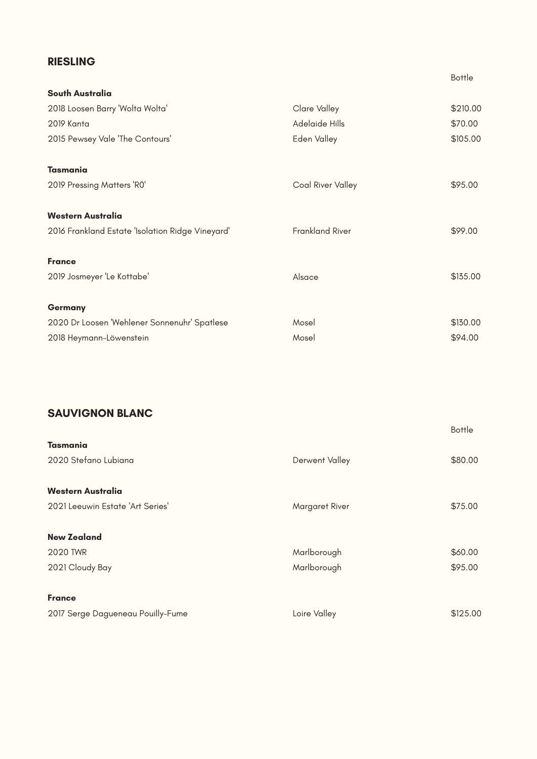Loire Valley

|                                                  |                          | <b>Bottle</b> |
|--------------------------------------------------|--------------------------|---------------|
| <b>South Australia</b>                           |                          |               |
| 2018 Loosen Barry 'Wolta Wolta'                  | <b>Clare Valley</b>      | \$210.00      |
| 2019 Kanta                                       | Adelaide Hills           | \$70.00       |
| 2015 Pewsey Vale 'The Contours'                  | Eden Valley              | \$105.00      |
| <b>Tasmania</b>                                  |                          |               |
| 2019 Pressing Matters 'RO'                       | <b>Coal River Valley</b> | \$95.00       |
| <b>Western Australia</b>                         |                          |               |
| 2016 Frankland Estate 'Isolation Ridge Vineyard' | <b>Frankland River</b>   | \$99.00       |
| <b>France</b>                                    |                          |               |
| 2019 Josmeyer 'Le Kottabe'                       | Alsace                   | \$135.00      |
| <b>Germany</b>                                   |                          |               |
| 2020 Dr Loosen 'Wehlener Sonnenuhr' Spatlese     | Mosel                    | \$130.00      |
| 2018 Heymann-Löwenstein                          | Mosel                    | \$94.00       |

|                                  |                | <b>Bottle</b> |
|----------------------------------|----------------|---------------|
| <b>Tasmania</b>                  |                |               |
| 2020 Stefano Lubiana             | Derwent Valley | \$80.00       |
|                                  |                |               |
| <b>Western Australia</b>         |                |               |
| 2021 Leeuwin Estate 'Art Series' | Margaret River | \$75.00       |
|                                  |                |               |
| <b>New Zealand</b>               |                |               |
| <b>2020 TWR</b>                  | Marlborough    | \$60.00       |
| 2021 Cloudy Bay                  | Marlborough    | \$95.00       |

#### **France**

2017 Serge Dagueneau Pouilly-Fume

### \$125.00

## **RIESLING**

# **SAUVIGNON BLANC**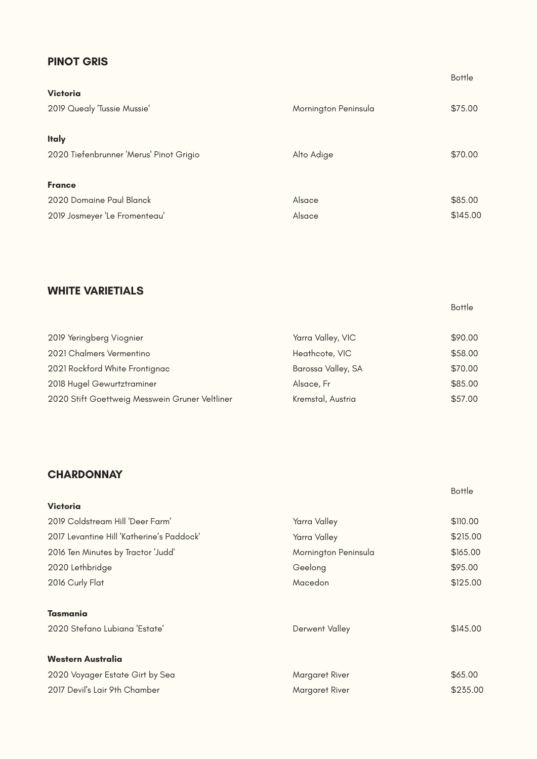|                                         |                      | -----    |
|-----------------------------------------|----------------------|----------|
| <b>Victoria</b>                         |                      |          |
| 2019 Quealy 'Tussie Mussie'             | Mornington Peninsula | \$75.00  |
|                                         |                      |          |
| <b>Italy</b>                            |                      |          |
| 2020 Tiefenbrunner 'Merus' Pinot Grigio | Alto Adige           | \$70.00  |
|                                         |                      |          |
| <b>France</b>                           |                      |          |
| 2020 Domaine Paul Blanck                | Alsace               | \$85.00  |
| 2019 Josmeyer 'Le Fromenteau'           | Alsace               | \$145.00 |

Yarra Valley, VIC Heathcote, VIC Barossa Valley, SA Alsace, Fr Kremstal, Austria 2019 Yeringberg Viognier 2021 Chalmers Vermentino 2021 Rockford White Frontignac 2018 Hugel Gewurtztraminer 2020 Stift Goettweig Messwein Gruner Veltliner \$90.00 \$58.00 \$70.00 \$85.00 \$57.00

| <b>Victoria</b>                           |                      |          |
|-------------------------------------------|----------------------|----------|
| 2019 Coldstream Hill 'Deer Farm'          | Yarra Valley         | \$110.00 |
| 2017 Levantine Hill 'Katherine's Paddock' | Yarra Valley         | \$215.00 |
| 2016 Ten Minutes by Tractor 'Judd'        | Mornington Peninsula | \$165.00 |
| 2020 Lethbridge                           | Geelong              | \$95.00  |
| 2016 Curly Flat                           | Macedon              | \$125.00 |
|                                           |                      |          |
| <b>Tasmania</b>                           |                      |          |
| 2020 Stefano Lubiana 'Estate'             | Derwent Valley       | \$145.00 |
|                                           |                      |          |
| <b>Western Australia</b>                  |                      |          |
| 2020 Voyager Estate Girt by Sea           | Margaret River       | \$65.00  |
| 2017 Devil's Lair 9th Chamber             | Margaret River       | \$235.00 |
|                                           |                      |          |

Bottle

Bottle

Bottle

## **PINOT GRIS**

## **WHITE VARIETIALS**

# **CHARDONNAY**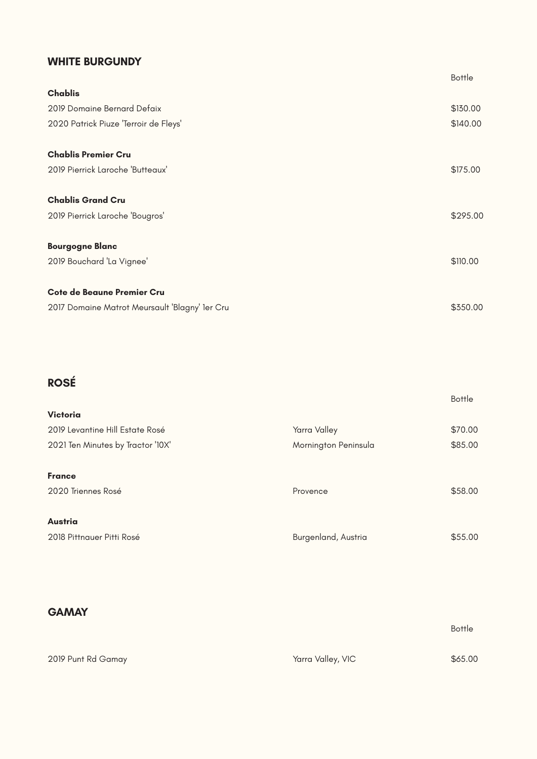|                                                |                      | <b>Bottle</b> |
|------------------------------------------------|----------------------|---------------|
| <b>Chablis</b>                                 |                      |               |
| 2019 Domaine Bernard Defaix                    |                      | \$130.00      |
| 2020 Patrick Piuze 'Terroir de Fleys'          |                      | \$140.00      |
| <b>Chablis Premier Cru</b>                     |                      |               |
| 2019 Pierrick Laroche 'Butteaux'               |                      | \$175.00      |
| <b>Chablis Grand Cru</b>                       |                      |               |
| 2019 Pierrick Laroche 'Bougros'                |                      | \$295.00      |
| <b>Bourgogne Blanc</b>                         |                      |               |
| 2019 Bouchard 'La Vignee'                      |                      | \$110.00      |
| <b>Cote de Beaune Premier Cru</b>              |                      |               |
| 2017 Domaine Matrot Meursault 'Blagny' 1er Cru |                      | \$350.00      |
|                                                |                      |               |
| <b>ROSÉ</b>                                    |                      |               |
| <b>Victoria</b>                                |                      | <b>Bottle</b> |
| 2019 Levantine Hill Estate Rosé                | Yarra Valley         | \$70.00       |
| 2021 Ten Minutes by Tractor '10X'              | Mornington Peninsula | \$85.00       |
| <b>France</b>                                  |                      |               |
|                                                |                      |               |
| 2020 Triennes Rosé                             | Provence             | \$58.00       |
| <b>Austria</b>                                 |                      |               |
| 2018 Pittnauer Pitti Rosé                      | Burgenland, Austria  | \$55.00       |

2019 Punt Rd Gamay

Bottle

\$65.00

### **WHITE BURGUNDY**

### **GAMAY**

Yarra Valley, VIC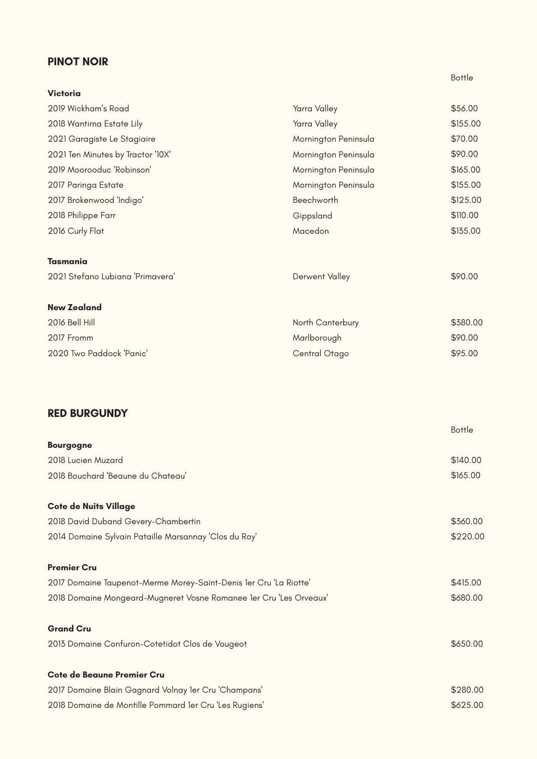| <b>Victoria</b>                   |                      |          |
|-----------------------------------|----------------------|----------|
| 2019 Wickham's Road               | Yarra Valley         | \$56.00  |
| 2018 Wantirna Estate Lily         | Yarra Valley         | \$155.00 |
| 2021 Garagiste Le Stagiaire       | Mornington Peninsula | \$70.00  |
| 2021 Ten Minutes by Tractor '10X' | Mornington Peninsula | \$90.00  |
| 2019 Moorooduc 'Robinson'         | Mornington Peninsula | \$165.00 |
| 2017 Paringa Estate               | Mornington Peninsula | \$155.00 |
| 2017 Brokenwood 'Indigo'          | Beechworth           | \$125.00 |
| 2018 Philippe Farr                | Gippsland            | \$110.00 |
| 2016 Curly Flat                   | Macedon              | \$135.00 |
| <b>Tasmania</b>                   |                      |          |
| 2021 Stefano Lubiana 'Primavera'  | Derwent Valley       | \$90.00  |
| <b>New Zealand</b>                |                      |          |
| 2016 Bell Hill                    | North Canterbury     | \$380.00 |
| 2017 Fromm                        | Marlborough          | \$90.00  |
| 2020 Two Paddock 'Panic'          | Central Otago        | \$95.00  |

#### **Premier Cru**

2017 Domaine Taupenot-Merme Morey-Saint-Denis 1er Cru 'La Riotte'

2018 Domaine Mongeard-Mugneret Vosne Romanee 1er Cru 'Les Orveaux'

#### **Grand Cru**

|                                                       | <b>Bottle</b> |
|-------------------------------------------------------|---------------|
| <b>Bourgogne</b>                                      |               |
| 2018 Lucien Muzard                                    | \$140.00      |
| 2018 Bouchard 'Beaune du Chateau'                     | \$165.00      |
| <b>Cote de Nuits Village</b>                          |               |
| 2018 David Duband Gevery-Chambertin                   | \$360.00      |
| 2014 Domaine Sylvain Pataille Marsannay 'Clos du Roy' | \$220.00      |

2013 Domaine Confuron-Cotetidot Clos de Vougeot

#### **Cote de Beaune Premier Cru**

2017 Domaine Blain Gagnard Volnay 1er Cru 'Champans' 2018 Domaine de Montille Pommard 1er Cru 'Les Rugiens' Bottle

\$415.00

\$680.00



\$280.00 \$625.00

### **PINOT NOIR**

# **RED BURGUNDY**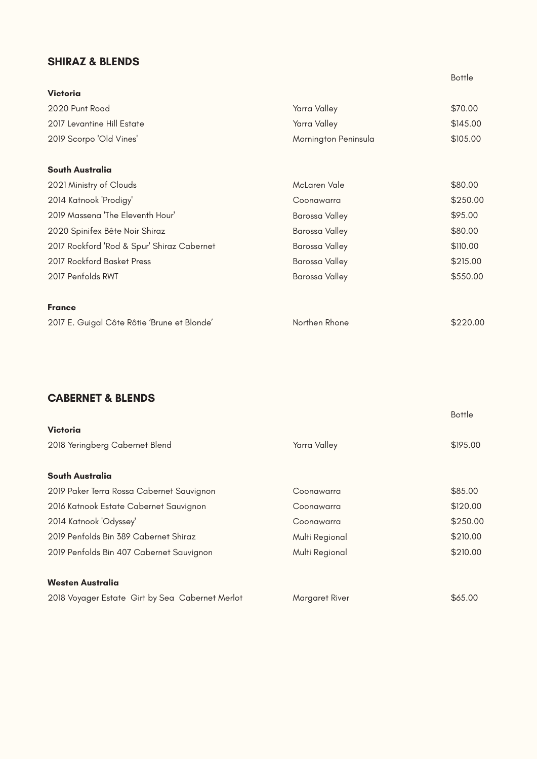Multi Regional

Margaret River

| <b>Victoria</b>                             |                       |               |
|---------------------------------------------|-----------------------|---------------|
| 2020 Punt Road                              | Yarra Valley          | \$70.00       |
| 2017 Levantine Hill Estate                  | Yarra Valley          | \$145.00      |
| 2019 Scorpo 'Old Vines'                     | Mornington Peninsula  | \$105.00      |
| <b>South Australia</b>                      |                       |               |
| 2021 Ministry of Clouds                     | McLaren Vale          | \$80.00       |
| 2014 Katnook 'Prodigy'                      | Coonawarra            | \$250.00      |
| 2019 Massena 'The Eleventh Hour'            | Barossa Valley        | \$95.00       |
| 2020 Spinifex Bête Noir Shiraz              | <b>Barossa Valley</b> | \$80.00       |
| 2017 Rockford 'Rod & Spur' Shiraz Cabernet  | Barossa Valley        | \$110.00      |
| 2017 Rockford Basket Press                  | Barossa Valley        | \$215.00      |
| 2017 Penfolds RWT                           | Barossa Valley        | \$550.00      |
| <b>France</b>                               |                       |               |
| 2017 E. Guigal Côte Rôtie 'Brune et Blonde' | Northen Rhone         | \$220.00      |
|                                             |                       |               |
| <b>CABERNET &amp; BLENDS</b>                |                       |               |
|                                             |                       | <b>Bottle</b> |
| <b>Victoria</b>                             |                       |               |
| 2018 Yeringberg Cabernet Blend              | Yarra Valley          | \$195.00      |
| <b>South Australia</b>                      |                       |               |
| 2019 Paker Terra Rossa Cabernet Sauvignon   | Coonawarra            | \$85.00       |
| 2016 Katnook Estate Cabernet Sauvignon      | Coonawarra            | \$120.00      |
| 2014 Katnook 'Odyssey'                      | Coonawarra            | \$250.00      |
| 2019 Penfolds Bin 389 Cabernet Shiraz       | Multi Regional        | \$210.00      |

2019 Penfolds Bin 407 Cabernet Sauvignon

#### **Westen Australia**

2018 Voyager Estate Girt by Sea Cabernet Merlot

Bottle

\$210.00



## **SHIRAZ & BLENDS**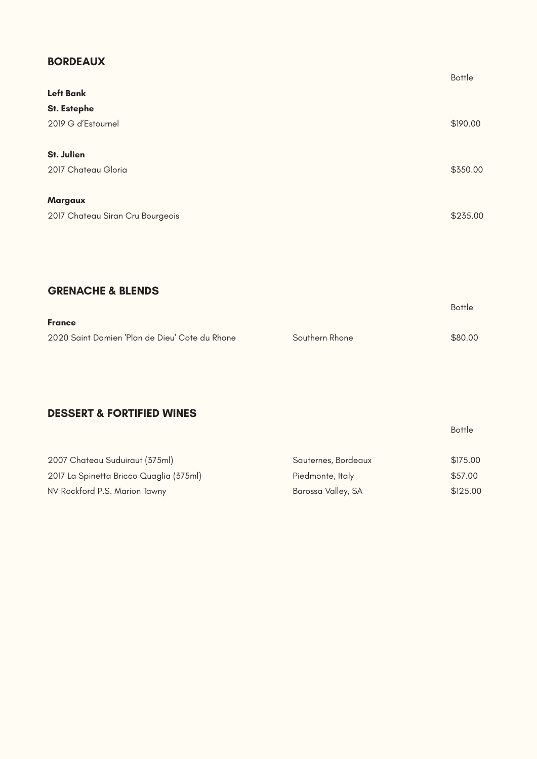|                                  | <b>Bottle</b> |
|----------------------------------|---------------|
| <b>Left Bank</b>                 |               |
| <b>St. Estephe</b>               |               |
| 2019 G d'Estournel               | \$190.00      |
| <b>St. Julien</b>                |               |
| 2017 Chateau Gloria              | \$350.00      |
| <b>Margaux</b>                   |               |
| 2017 Chateau Siran Cru Bourgeois | \$235.00      |
|                                  |               |

| <b>France</b>                                  |                |         |
|------------------------------------------------|----------------|---------|
| 2020 Saint Damien 'Plan de Dieu' Cote du Rhone | Southern Rhone | \$80.00 |

Bottle

Bottle

| 2007 Chateau Suduiraut (375ml)          | Sauternes, Bordeaux | \$175.00 |
|-----------------------------------------|---------------------|----------|
| 2017 La Spinetta Bricco Quaglia (375ml) | Piedmonte, Italy    | \$57.00  |
| NV Rockford P.S. Marion Tawny           | Barossa Valley, SA  | \$125.00 |

## **BORDEAUX**

# **GRENACHE & BLENDS**

# **DESSERT & FORTIFIED WINES**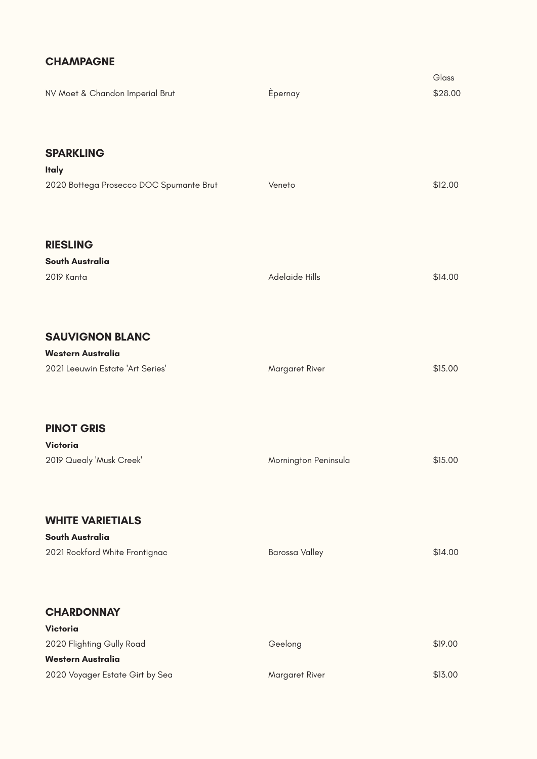Geelong

Margaret River

\$19.00

\$13.00

| NV Moet & Chandon Imperial Brut                                                        | Èpernay              | Glass<br>\$28.00 |
|----------------------------------------------------------------------------------------|----------------------|------------------|
| <b>SPARKLING</b><br><b>Italy</b><br>2020 Bottega Prosecco DOC Spumante Brut            | Veneto               | \$12.00          |
| <b>RIESLING</b><br><b>South Australia</b><br>2019 Kanta                                | Adelaide Hills       | \$14.00          |
| <b>SAUVIGNON BLANC</b><br><b>Western Australia</b><br>2021 Leeuwin Estate 'Art Series' | Margaret River       | \$15.00          |
| <b>PINOT GRIS</b><br><b>Victoria</b><br>2019 Quealy 'Musk Creek'                       | Mornington Peninsula | \$15.00          |

**South Australia** 2021 Rockford White Frontignac

#### **Victoria**

2020 Flighting Gully Road

### **Western Australia**

2020 Voyager Estate Girt by Sea

## **CHAMPAGNE**

# **WHITE VARIETIALS**

# **CHARDONNAY**